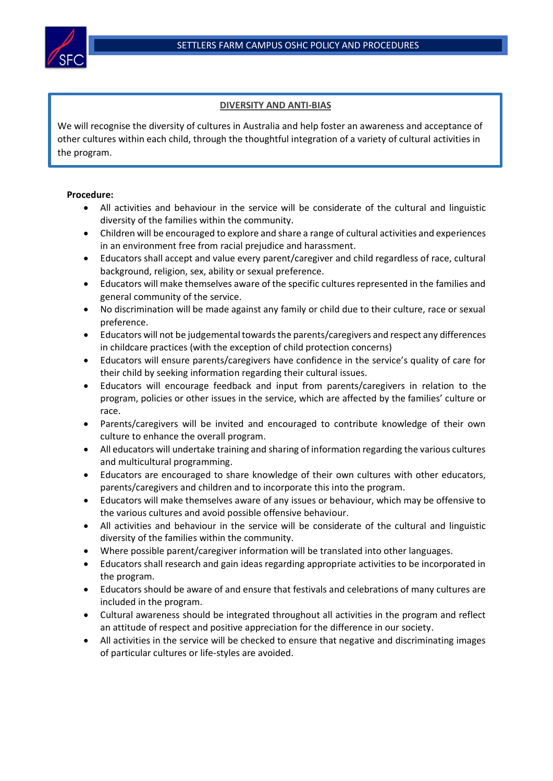

## **DIVERSITY AND ANTI-BIAS**

We will recognise the diversity of cultures in Australia and help foster an awareness and acceptance of other cultures within each child, through the thoughtful integration of a variety of cultural activities in the program.

## **Procedure:**

- All activities and behaviour in the service will be considerate of the cultural and linguistic diversity of the families within the community.
- Children will be encouraged to explore and share a range of cultural activities and experiences in an environment free from racial prejudice and harassment.
- Educators shall accept and value every parent/caregiver and child regardless of race, cultural background, religion, sex, ability or sexual preference.
- Educators will make themselves aware of the specific cultures represented in the families and general community of the service.
- No discrimination will be made against any family or child due to their culture, race or sexual preference.
- Educators will not be judgemental towards the parents/caregivers and respect any differences in childcare practices (with the exception of child protection concerns)
- Educators will ensure parents/caregivers have confidence in the service's quality of care for their child by seeking information regarding their cultural issues.
- Educators will encourage feedback and input from parents/caregivers in relation to the program, policies or other issues in the service, which are affected by the families' culture or race.
- Parents/caregivers will be invited and encouraged to contribute knowledge of their own culture to enhance the overall program.
- All educators will undertake training and sharing of information regarding the various cultures and multicultural programming.
- Educators are encouraged to share knowledge of their own cultures with other educators, parents/caregivers and children and to incorporate this into the program.
- Educators will make themselves aware of any issues or behaviour, which may be offensive to the various cultures and avoid possible offensive behaviour.
- All activities and behaviour in the service will be considerate of the cultural and linguistic diversity of the families within the community.
- Where possible parent/caregiver information will be translated into other languages.
- Educators shall research and gain ideas regarding appropriate activities to be incorporated in the program.
- Educators should be aware of and ensure that festivals and celebrations of many cultures are included in the program.
- Cultural awareness should be integrated throughout all activities in the program and reflect an attitude of respect and positive appreciation for the difference in our society.
- All activities in the service will be checked to ensure that negative and discriminating images of particular cultures or life-styles are avoided.